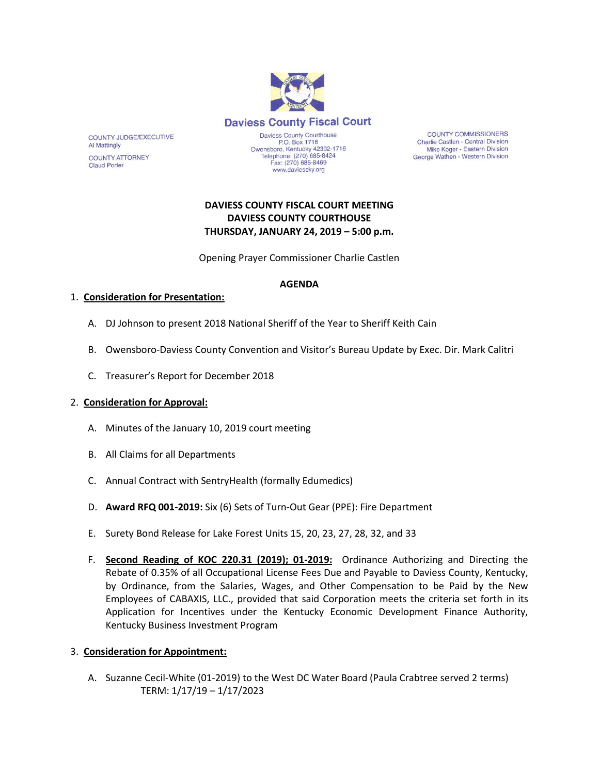

**COUNTY COMMISSIONERS** Charlie Castlen - Central Division Mike Koger - Eastern Division George Wathen - Western Division

## **DAVIESS COUNTY FISCAL COURT MEETING DAVIESS COUNTY COURTHOUSE THURSDAY, JANUARY 24, 2019 – 5:00 p.m.**

www.daviessky.org

Opening Prayer Commissioner Charlie Castlen

#### **AGENDA**

### 1. **Consideration for Presentation:**

- A. DJ Johnson to present 2018 National Sheriff of the Year to Sheriff Keith Cain
- B. Owensboro-Daviess County Convention and Visitor's Bureau Update by Exec. Dir. Mark Calitri
- C. Treasurer's Report for December 2018

### 2. **Consideration for Approval:**

- A. Minutes of the January 10, 2019 court meeting
- B. All Claims for all Departments
- C. Annual Contract with SentryHealth (formally Edumedics)
- D. **Award RFQ 001-2019:** Six (6) Sets of Turn-Out Gear (PPE): Fire Department
- E. Surety Bond Release for Lake Forest Units 15, 20, 23, 27, 28, 32, and 33
- F. **Second Reading of KOC 220.31 (2019); 01-2019:** Ordinance Authorizing and Directing the Rebate of 0.35% of all Occupational License Fees Due and Payable to Daviess County, Kentucky, by Ordinance, from the Salaries, Wages, and Other Compensation to be Paid by the New Employees of CABAXIS, LLC., provided that said Corporation meets the criteria set forth in its Application for Incentives under the Kentucky Economic Development Finance Authority, Kentucky Business Investment Program

### 3. **Consideration for Appointment:**

A. Suzanne Cecil-White (01-2019) to the West DC Water Board (Paula Crabtree served 2 terms) TERM: 1/17/19 – 1/17/2023

COUNTY JUDGE/EXECUTIVE **Al Mattingly** 

**COUNTY ATTORNEY Claud Porter**